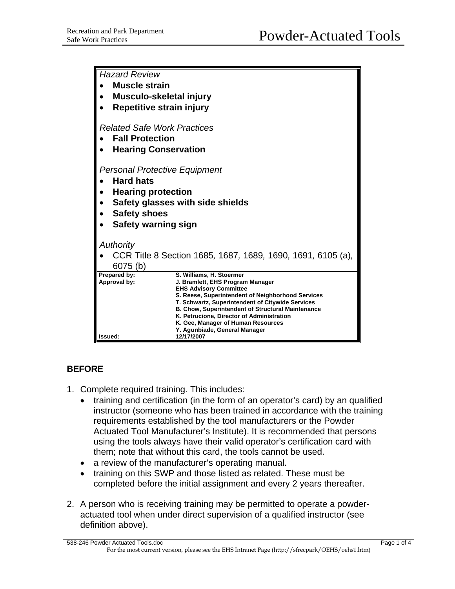| <b>Hazard Review</b>                                                                                                      |                                                                                                                                                                                                                                                                                                                                                                                        |
|---------------------------------------------------------------------------------------------------------------------------|----------------------------------------------------------------------------------------------------------------------------------------------------------------------------------------------------------------------------------------------------------------------------------------------------------------------------------------------------------------------------------------|
| <b>Muscle strain</b>                                                                                                      |                                                                                                                                                                                                                                                                                                                                                                                        |
| Musculo-skeletal injury                                                                                                   |                                                                                                                                                                                                                                                                                                                                                                                        |
| Repetitive strain injury                                                                                                  |                                                                                                                                                                                                                                                                                                                                                                                        |
| <b>Related Safe Work Practices</b><br><b>Fall Protection</b><br><b>Hearing Conservation</b>                               |                                                                                                                                                                                                                                                                                                                                                                                        |
| <b>Personal Protective Equipment</b><br><b>Hard hats</b><br><b>Hearing protection</b><br>Safety glasses with side shields |                                                                                                                                                                                                                                                                                                                                                                                        |
| <b>Safety shoes</b>                                                                                                       |                                                                                                                                                                                                                                                                                                                                                                                        |
| Safety warning sign                                                                                                       |                                                                                                                                                                                                                                                                                                                                                                                        |
|                                                                                                                           |                                                                                                                                                                                                                                                                                                                                                                                        |
| Authority                                                                                                                 |                                                                                                                                                                                                                                                                                                                                                                                        |
| CCR Title 8 Section 1685, 1687, 1689, 1690, 1691, 6105 (a),<br>6075 (b)                                                   |                                                                                                                                                                                                                                                                                                                                                                                        |
| Prepared by:<br>Approval by:                                                                                              | S. Williams, H. Stoermer<br>J. Bramlett, EHS Program Manager<br><b>EHS Advisory Committee</b><br>S. Reese, Superintendent of Neighborhood Services<br>T. Schwartz, Superintendent of Citywide Services<br><b>B. Chow, Superintendent of Structural Maintenance</b><br>K. Petrucione, Director of Administration<br>K. Gee, Manager of Human Resources<br>Y. Agunbiade, General Manager |
| Issued:                                                                                                                   | 12/17/2007                                                                                                                                                                                                                                                                                                                                                                             |

## **BEFORE**

- 1. Complete required training. This includes:
	- training and certification (in the form of an operator's card) by an qualified instructor (someone who has been trained in accordance with the training requirements established by the tool manufacturers or the Powder Actuated Tool Manufacturer's Institute). It is recommended that persons using the tools always have their valid operator's certification card with them; note that without this card, the tools cannot be used.
	- a review of the manufacturer's operating manual.
	- training on this SWP and those listed as related. These must be completed before the initial assignment and every 2 years thereafter.
- 2. A person who is receiving training may be permitted to operate a powderactuated tool when under direct supervision of a qualified instructor (see definition above).

538-246 Powder Actuated Tools.doc Page 1 of 4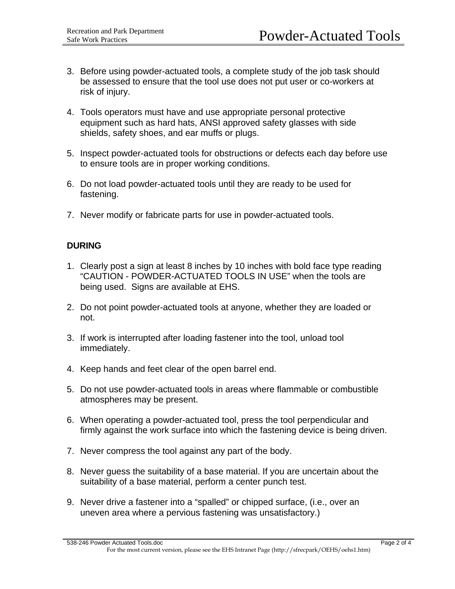- 3. Before using powder-actuated tools, a complete study of the job task should be assessed to ensure that the tool use does not put user or co-workers at risk of injury.
- 4. Tools operators must have and use appropriate personal protective equipment such as hard hats, ANSI approved safety glasses with side shields, safety shoes, and ear muffs or plugs.
- 5. Inspect powder-actuated tools for obstructions or defects each day before use to ensure tools are in proper working conditions.
- 6. Do not load powder-actuated tools until they are ready to be used for fastening.
- 7. Never modify or fabricate parts for use in powder-actuated tools.

## **DURING**

- 1. Clearly post a sign at least 8 inches by 10 inches with bold face type reading "CAUTION - POWDER-ACTUATED TOOLS IN USE" when the tools are being used. Signs are available at EHS.
- 2. Do not point powder-actuated tools at anyone, whether they are loaded or not.
- 3. If work is interrupted after loading fastener into the tool, unload tool immediately.
- 4. Keep hands and feet clear of the open barrel end.
- 5. Do not use powder-actuated tools in areas where flammable or combustible atmospheres may be present.
- 6. When operating a powder-actuated tool, press the tool perpendicular and firmly against the work surface into which the fastening device is being driven.
- 7. Never compress the tool against any part of the body.
- 8. Never guess the suitability of a base material. If you are uncertain about the suitability of a base material, perform a center punch test.
- 9. Never drive a fastener into a "spalled" or chipped surface, (i.e., over an uneven area where a pervious fastening was unsatisfactory.)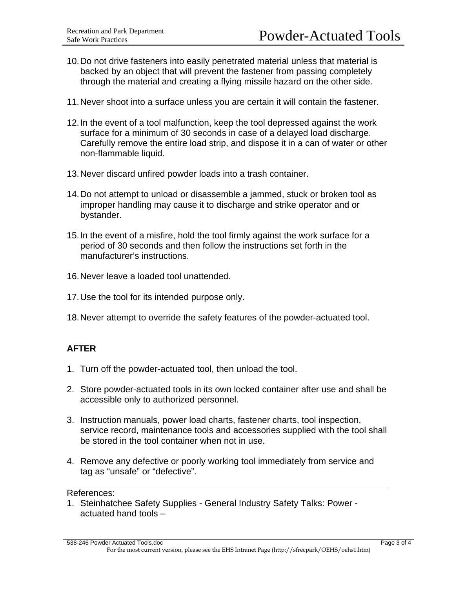- 10. Do not drive fasteners into easily penetrated material unless that material is backed by an object that will prevent the fastener from passing completely through the material and creating a flying missile hazard on the other side.
- 11. Never shoot into a surface unless you are certain it will contain the fastener.
- 12. In the event of a tool malfunction, keep the tool depressed against the work surface for a minimum of 30 seconds in case of a delayed load discharge. Carefully remove the entire load strip, and dispose it in a can of water or other non-flammable liquid.
- 13. Never discard unfired powder loads into a trash container.
- 14. Do not attempt to unload or disassemble a jammed, stuck or broken tool as improper handling may cause it to discharge and strike operator and or bystander.
- 15. In the event of a misfire, hold the tool firmly against the work surface for a period of 30 seconds and then follow the instructions set forth in the manufacturer's instructions.
- 16. Never leave a loaded tool unattended.
- 17. Use the tool for its intended purpose only.
- 18. Never attempt to override the safety features of the powder-actuated tool.

## **AFTER**

- 1. Turn off the powder-actuated tool, then unload the tool.
- 2. Store powder-actuated tools in its own locked container after use and shall be accessible only to authorized personnel.
- 3. Instruction manuals, power load charts, fastener charts, tool inspection, service record, maintenance tools and accessories supplied with the tool shall be stored in the tool container when not in use.
- 4. Remove any defective or poorly working tool immediately from service and tag as "unsafe" or "defective".

## References:

1. Steinhatchee Safety Supplies - General Industry Safety Talks: Power actuated hand tools –